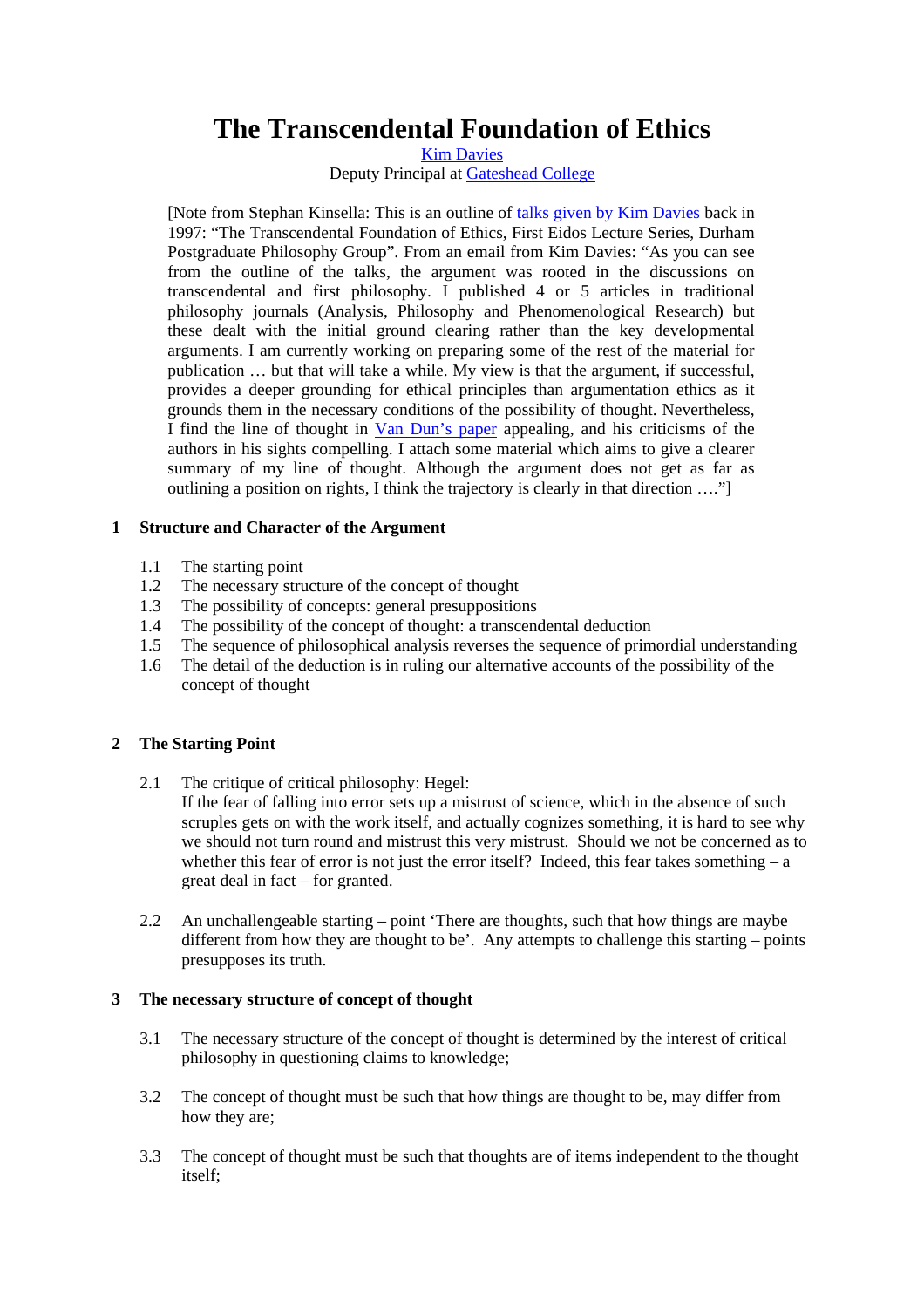# **The Transcendental Foundation of Ethics**

[Kim Davies](mailto:kim.davies@gateshead.ac.uk)

Deputy Principal at [Gateshead College](http://www.gateshead.ac.uk/)

[Note from Stephan Kinsella: This is an outline of [talks given by Kim Davies](http://www.stephankinsella.com/texts/davies_transcendental.pdf) back in 1997: "The Transcendental Foundation of Ethics, First Eidos Lecture Series, Durham Postgraduate Philosophy Group". From an email from Kim Davies: "As you can see from the outline of the talks, the argument was rooted in the discussions on transcendental and first philosophy. I published 4 or 5 articles in traditional philosophy journals (Analysis, Philosophy and Phenomenological Research) but these dealt with the initial ground clearing rather than the key developmental arguments. I am currently working on preparing some of the rest of the material for publication … but that will take a while. My view is that the argument, if successful, provides a deeper grounding for ethical principles than argumentation ethics as it grounds them in the necessary conditions of the possibility of thought. Nevertheless, I find the line of thought in [Van Dun's paper](http://blog.mises.org/archives/005497.asp) appealing, and his criticisms of the authors in his sights compelling. I attach some material which aims to give a clearer summary of my line of thought. Although the argument does not get as far as outlining a position on rights, I think the trajectory is clearly in that direction …."]

## **1 Structure and Character of the Argument**

- 1.1 The starting point
- 1.2 The necessary structure of the concept of thought
- 1.3 The possibility of concepts: general presuppositions
- 1.4 The possibility of the concept of thought: a transcendental deduction
- 1.5 The sequence of philosophical analysis reverses the sequence of primordial understanding
- 1.6 The detail of the deduction is in ruling our alternative accounts of the possibility of the concept of thought

#### **2 The Starting Point**

2.1 The critique of critical philosophy: Hegel:

 If the fear of falling into error sets up a mistrust of science, which in the absence of such scruples gets on with the work itself, and actually cognizes something, it is hard to see why we should not turn round and mistrust this very mistrust. Should we not be concerned as to whether this fear of error is not just the error itself? Indeed, this fear takes something  $- a$ great deal in fact – for granted.

2.2 An unchallengeable starting – point 'There are thoughts, such that how things are maybe different from how they are thought to be'. Any attempts to challenge this starting – points presupposes its truth.

#### **3 The necessary structure of concept of thought**

- 3.1 The necessary structure of the concept of thought is determined by the interest of critical philosophy in questioning claims to knowledge;
- 3.2 The concept of thought must be such that how things are thought to be, may differ from how they are;
- 3.3 The concept of thought must be such that thoughts are of items independent to the thought itself;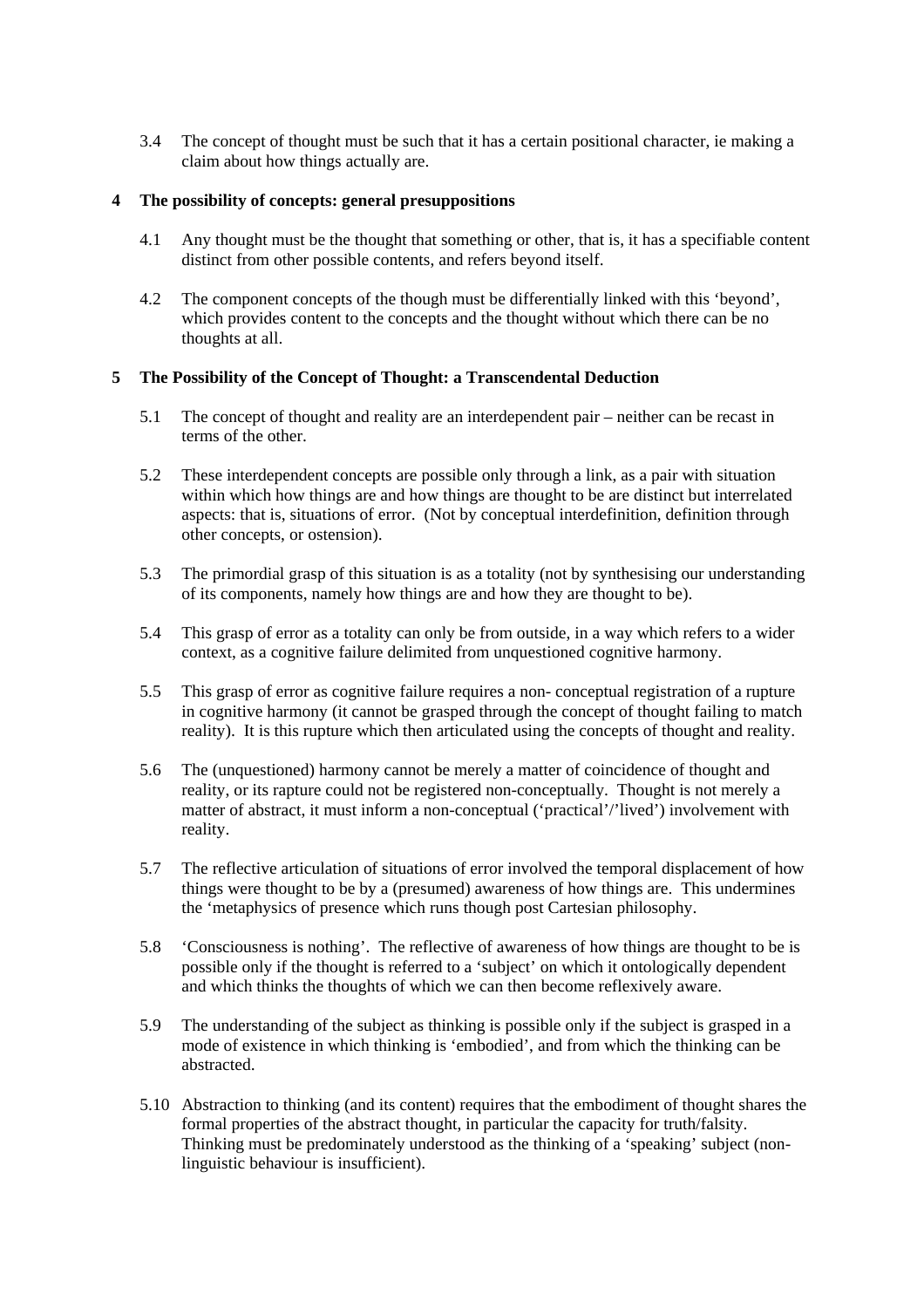3.4 The concept of thought must be such that it has a certain positional character, ie making a claim about how things actually are.

## **4 The possibility of concepts: general presuppositions**

- 4.1 Any thought must be the thought that something or other, that is, it has a specifiable content distinct from other possible contents, and refers beyond itself.
- 4.2 The component concepts of the though must be differentially linked with this 'beyond', which provides content to the concepts and the thought without which there can be no thoughts at all.

# **5 The Possibility of the Concept of Thought: a Transcendental Deduction**

- 5.1 The concept of thought and reality are an interdependent pair neither can be recast in terms of the other.
- 5.2 These interdependent concepts are possible only through a link, as a pair with situation within which how things are and how things are thought to be are distinct but interrelated aspects: that is, situations of error. (Not by conceptual interdefinition, definition through other concepts, or ostension).
- 5.3 The primordial grasp of this situation is as a totality (not by synthesising our understanding of its components, namely how things are and how they are thought to be).
- 5.4 This grasp of error as a totality can only be from outside, in a way which refers to a wider context, as a cognitive failure delimited from unquestioned cognitive harmony.
- 5.5 This grasp of error as cognitive failure requires a non- conceptual registration of a rupture in cognitive harmony (it cannot be grasped through the concept of thought failing to match reality). It is this rupture which then articulated using the concepts of thought and reality.
- 5.6 The (unquestioned) harmony cannot be merely a matter of coincidence of thought and reality, or its rapture could not be registered non-conceptually. Thought is not merely a matter of abstract, it must inform a non-conceptual ('practical'/'lived') involvement with reality.
- 5.7 The reflective articulation of situations of error involved the temporal displacement of how things were thought to be by a (presumed) awareness of how things are. This undermines the 'metaphysics of presence which runs though post Cartesian philosophy.
- 5.8 'Consciousness is nothing'. The reflective of awareness of how things are thought to be is possible only if the thought is referred to a 'subject' on which it ontologically dependent and which thinks the thoughts of which we can then become reflexively aware.
- 5.9 The understanding of the subject as thinking is possible only if the subject is grasped in a mode of existence in which thinking is 'embodied', and from which the thinking can be abstracted.
- 5.10 Abstraction to thinking (and its content) requires that the embodiment of thought shares the formal properties of the abstract thought, in particular the capacity for truth/falsity. Thinking must be predominately understood as the thinking of a 'speaking' subject (nonlinguistic behaviour is insufficient).